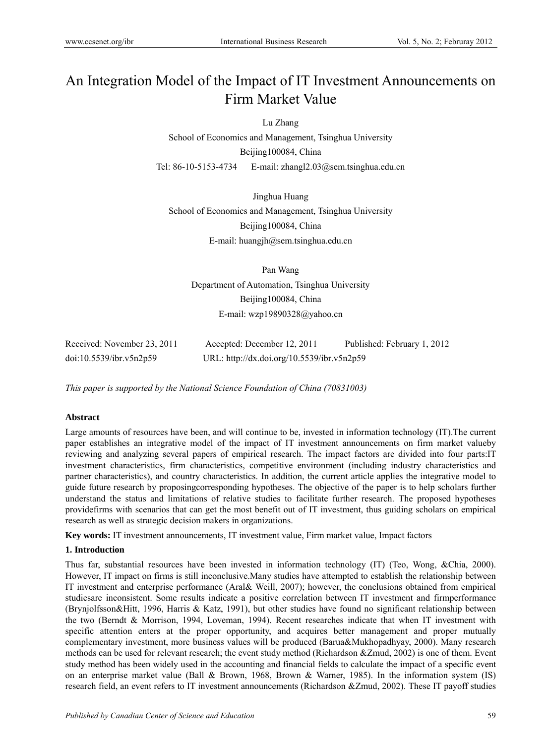# An Integration Model of the Impact of IT Investment Announcements on Firm Market Value

Lu Zhang

School of Economics and Management, Tsinghua University Beijing100084, China Tel: 86-10-5153-4734 E-mail: zhangl2.03@sem.tsinghua.edu.cn

Jinghua Huang School of Economics and Management, Tsinghua University Beijing100084, China E-mail: huangjh $@s$ em.tsinghua.edu.cn

> Pan Wang Department of Automation, Tsinghua University Beijing100084, China E-mail: wzp19890328@yahoo.cn

| Received: November 23, 2011 | Accepted: December 12, 2011                | Published: February 1, 2012 |
|-----------------------------|--------------------------------------------|-----------------------------|
| doi:10.5539/ibr.v5n2p59     | URL: http://dx.doi.org/10.5539/ibr.v5n2p59 |                             |

*This paper is supported by the National Science Foundation of China (70831003)* 

## **Abstract**

Large amounts of resources have been, and will continue to be, invested in information technology (IT).The current paper establishes an integrative model of the impact of IT investment announcements on firm market valueby reviewing and analyzing several papers of empirical research. The impact factors are divided into four parts:IT investment characteristics, firm characteristics, competitive environment (including industry characteristics and partner characteristics), and country characteristics. In addition, the current article applies the integrative model to guide future research by proposingcorresponding hypotheses. The objective of the paper is to help scholars further understand the status and limitations of relative studies to facilitate further research. The proposed hypotheses providefirms with scenarios that can get the most benefit out of IT investment, thus guiding scholars on empirical research as well as strategic decision makers in organizations.

**Key words:** IT investment announcements, IT investment value, Firm market value, Impact factors

## **1. Introduction**

Thus far, substantial resources have been invested in information technology (IT) (Teo, Wong, &Chia, 2000). However, IT impact on firms is still inconclusive.Many studies have attempted to establish the relationship between IT investment and enterprise performance (Aral& Weill, 2007); however, the conclusions obtained from empirical studiesare inconsistent. Some results indicate a positive correlation between IT investment and firmperformance (Brynjolfsson&Hitt, 1996, Harris & Katz, 1991), but other studies have found no significant relationship between the two (Berndt & Morrison, 1994, Loveman, 1994). Recent researches indicate that when IT investment with specific attention enters at the proper opportunity, and acquires better management and proper mutually complementary investment, more business values will be produced (Barua&Mukhopadhyay, 2000). Many research methods can be used for relevant research; the event study method (Richardson &Zmud, 2002) is one of them. Event study method has been widely used in the accounting and financial fields to calculate the impact of a specific event on an enterprise market value (Ball & Brown, 1968, Brown & Warner, 1985). In the information system (IS) research field, an event refers to IT investment announcements (Richardson &Zmud, 2002). These IT payoff studies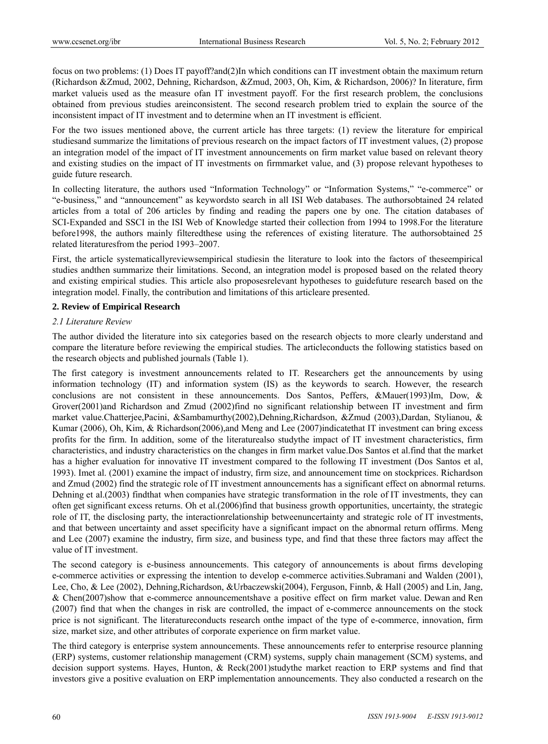focus on two problems: (1) Does IT payoff?and(2)In which conditions can IT investment obtain the maximum return (Richardson &Zmud, 2002, Dehning, Richardson, &Zmud, 2003, Oh, Kim, & Richardson, 2006)? In literature, firm market valueis used as the measure ofan IT investment payoff. For the first research problem, the conclusions obtained from previous studies areinconsistent. The second research problem tried to explain the source of the inconsistent impact of IT investment and to determine when an IT investment is efficient.

For the two issues mentioned above, the current article has three targets: (1) review the literature for empirical studiesand summarize the limitations of previous research on the impact factors of IT investment values, (2) propose an integration model of the impact of IT investment announcements on firm market value based on relevant theory and existing studies on the impact of IT investments on firmmarket value, and (3) propose relevant hypotheses to guide future research.

In collecting literature, the authors used "Information Technology" or "Information Systems," "e-commerce" or "e-business," and "announcement" as keywordsto search in all ISI Web databases. The authorsobtained 24 related articles from a total of 206 articles by finding and reading the papers one by one. The citation databases of SCI-Expanded and SSCI in the ISI Web of Knowledge started their collection from 1994 to 1998.For the literature before1998, the authors mainly filteredthese using the references of existing literature. The authorsobtained 25 related literaturesfrom the period 1993–2007.

First, the article systematicallyreviewsempirical studiesin the literature to look into the factors of theseempirical studies andthen summarize their limitations. Second, an integration model is proposed based on the related theory and existing empirical studies. This article also proposesrelevant hypotheses to guidefuture research based on the integration model. Finally, the contribution and limitations of this articleare presented.

## **2. Review of Empirical Research**

## *2.1 Literature Review*

The author divided the literature into six categories based on the research objects to more clearly understand and compare the literature before reviewing the empirical studies. The articleconducts the following statistics based on the research objects and published journals (Table 1).

The first category is investment announcements related to IT. Researchers get the announcements by using information technology (IT) and information system (IS) as the keywords to search. However, the research conclusions are not consistent in these announcements. Dos Santos, Peffers, &Mauer(1993)Im, Dow, & Grover(2001)and Richardson and Zmud (2002)find no significant relationship between IT investment and firm market value.Chatterjee,Pacini, &Sambamurthy(2002),Dehning,Richardson, &Zmud (2003),Dardan, Stylianou, & Kumar (2006), Oh, Kim, & Richardson(2006),and Meng and Lee (2007)indicatethat IT investment can bring excess profits for the firm. In addition, some of the literaturealso studythe impact of IT investment characteristics, firm characteristics, and industry characteristics on the changes in firm market value.Dos Santos et al.find that the market has a higher evaluation for innovative IT investment compared to the following IT investment (Dos Santos et al, 1993). Imet al. (2001) examine the impact of industry, firm size, and announcement time on stockprices. Richardson and Zmud (2002) find the strategic role of IT investment announcements has a significant effect on abnormal returns. Dehning et al.(2003) findthat when companies have strategic transformation in the role of IT investments, they can often get significant excess returns. Oh et al.(2006)find that business growth opportunities, uncertainty, the strategic role of IT, the disclosing party, the interactionrelationship betweenuncertainty and strategic role of IT investments, and that between uncertainty and asset specificity have a significant impact on the abnormal return offirms. Meng and Lee (2007) examine the industry, firm size, and business type, and find that these three factors may affect the value of IT investment.

The second category is e-business announcements. This category of announcements is about firms developing e-commerce activities or expressing the intention to develop e-commerce activities.Subramani and Walden (2001), Lee, Cho, & Lee (2002), Dehning,Richardson, &Urbaczewski(2004), Ferguson, Finnb, & Hall (2005) and Lin, Jang, & Chen(2007)show that e-commerce announcementshave a positive effect on firm market value. Dewan and Ren (2007) find that when the changes in risk are controlled, the impact of e-commerce announcements on the stock price is not significant. The literatureconducts research onthe impact of the type of e-commerce, innovation, firm size, market size, and other attributes of corporate experience on firm market value.

The third category is enterprise system announcements. These announcements refer to enterprise resource planning (ERP) systems, customer relationship management (CRM) systems, supply chain management (SCM) systems, and decision support systems. Hayes, Hunton, & Reck(2001)studythe market reaction to ERP systems and find that investors give a positive evaluation on ERP implementation announcements. They also conducted a research on the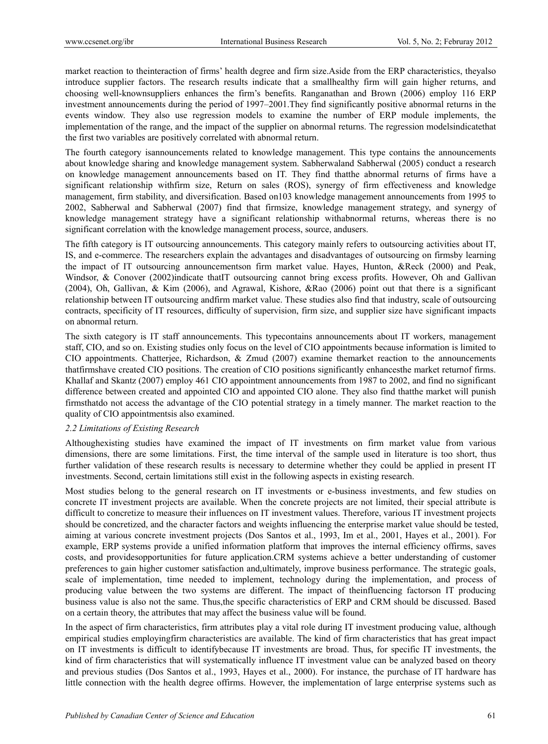market reaction to theinteraction of firms' health degree and firm size.Aside from the ERP characteristics, theyalso introduce supplier factors. The research results indicate that a smallhealthy firm will gain higher returns, and choosing well-knownsuppliers enhances the firm's benefits. Ranganathan and Brown (2006) employ 116 ERP investment announcements during the period of 1997–2001.They find significantly positive abnormal returns in the events window. They also use regression models to examine the number of ERP module implements, the implementation of the range, and the impact of the supplier on abnormal returns. The regression modelsindicatethat the first two variables are positively correlated with abnormal return.

The fourth category isannouncements related to knowledge management. This type contains the announcements about knowledge sharing and knowledge management system. Sabherwaland Sabherwal (2005) conduct a research on knowledge management announcements based on IT. They find thatthe abnormal returns of firms have a significant relationship withfirm size, Return on sales (ROS), synergy of firm effectiveness and knowledge management, firm stability, and diversification. Based on103 knowledge management announcements from 1995 to 2002, Sabherwal and Sabherwal (2007) find that firmsize, knowledge management strategy, and synergy of knowledge management strategy have a significant relationship withabnormal returns, whereas there is no significant correlation with the knowledge management process, source, andusers.

The fifth category is IT outsourcing announcements. This category mainly refers to outsourcing activities about IT, IS, and e-commerce. The researchers explain the advantages and disadvantages of outsourcing on firmsby learning the impact of IT outsourcing announcementson firm market value. Hayes, Hunton, &Reck (2000) and Peak, Windsor, & Conover (2002)indicate thatIT outsourcing cannot bring excess profits. However, Oh and Gallivan (2004), Oh, Gallivan, & Kim (2006), and Agrawal, Kishore, &Rao (2006) point out that there is a significant relationship between IT outsourcing andfirm market value. These studies also find that industry, scale of outsourcing contracts, specificity of IT resources, difficulty of supervision, firm size, and supplier size have significant impacts on abnormal return.

The sixth category is IT staff announcements. This typecontains announcements about IT workers, management staff, CIO, and so on. Existing studies only focus on the level of CIO appointments because information is limited to CIO appointments. Chatterjee, Richardson, & Zmud (2007) examine themarket reaction to the announcements thatfirmshave created CIO positions. The creation of CIO positions significantly enhancesthe market returnof firms. Khallaf and Skantz (2007) employ 461 CIO appointment announcements from 1987 to 2002, and find no significant difference between created and appointed CIO and appointed CIO alone. They also find thatthe market will punish firmsthatdo not access the advantage of the CIO potential strategy in a timely manner. The market reaction to the quality of CIO appointmentsis also examined.

## *2.2 Limitations of Existing Research*

Althoughexisting studies have examined the impact of IT investments on firm market value from various dimensions, there are some limitations. First, the time interval of the sample used in literature is too short, thus further validation of these research results is necessary to determine whether they could be applied in present IT investments. Second, certain limitations still exist in the following aspects in existing research.

Most studies belong to the general research on IT investments or e-business investments, and few studies on concrete IT investment projects are available. When the concrete projects are not limited, their special attribute is difficult to concretize to measure their influences on IT investment values. Therefore, various IT investment projects should be concretized, and the character factors and weights influencing the enterprise market value should be tested, aiming at various concrete investment projects (Dos Santos et al., 1993, Im et al., 2001, Hayes et al., 2001). For example, ERP systems provide a unified information platform that improves the internal efficiency offirms, saves costs, and providesopportunities for future application.CRM systems achieve a better understanding of customer preferences to gain higher customer satisfaction and,ultimately, improve business performance. The strategic goals, scale of implementation, time needed to implement, technology during the implementation, and process of producing value between the two systems are different. The impact of theinfluencing factorson IT producing business value is also not the same. Thus,the specific characteristics of ERP and CRM should be discussed. Based on a certain theory, the attributes that may affect the business value will be found.

In the aspect of firm characteristics, firm attributes play a vital role during IT investment producing value, although empirical studies employingfirm characteristics are available. The kind of firm characteristics that has great impact on IT investments is difficult to identifybecause IT investments are broad. Thus, for specific IT investments, the kind of firm characteristics that will systematically influence IT investment value can be analyzed based on theory and previous studies (Dos Santos et al., 1993, Hayes et al., 2000). For instance, the purchase of IT hardware has little connection with the health degree offirms. However, the implementation of large enterprise systems such as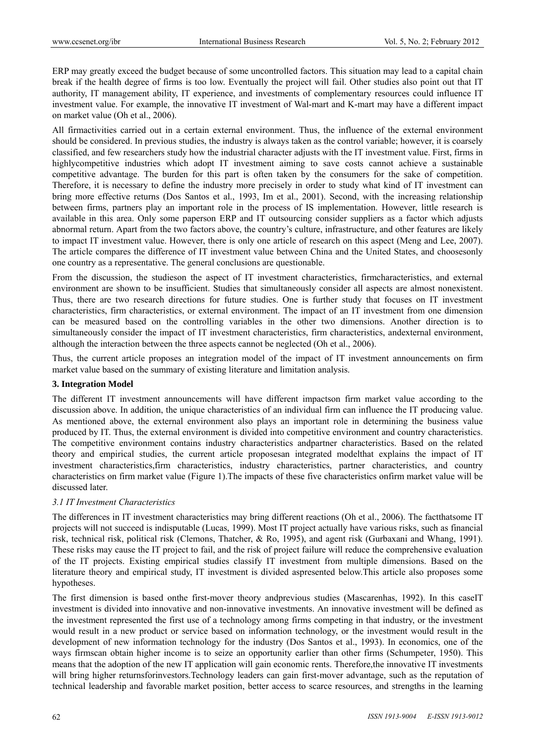ERP may greatly exceed the budget because of some uncontrolled factors. This situation may lead to a capital chain break if the health degree of firms is too low. Eventually the project will fail. Other studies also point out that IT authority, IT management ability, IT experience, and investments of complementary resources could influence IT investment value. For example, the innovative IT investment of Wal-mart and K-mart may have a different impact on market value (Oh et al., 2006).

All firmactivities carried out in a certain external environment. Thus, the influence of the external environment should be considered. In previous studies, the industry is always taken as the control variable; however, it is coarsely classified, and few researchers study how the industrial character adjusts with the IT investment value. First, firms in highlycompetitive industries which adopt IT investment aiming to save costs cannot achieve a sustainable competitive advantage. The burden for this part is often taken by the consumers for the sake of competition. Therefore, it is necessary to define the industry more precisely in order to study what kind of IT investment can bring more effective returns (Dos Santos et al., 1993, Im et al., 2001). Second, with the increasing relationship between firms, partners play an important role in the process of IS implementation. However, little research is available in this area. Only some paperson ERP and IT outsourcing consider suppliers as a factor which adjusts abnormal return. Apart from the two factors above, the country's culture, infrastructure, and other features are likely to impact IT investment value. However, there is only one article of research on this aspect (Meng and Lee, 2007). The article compares the difference of IT investment value between China and the United States, and choosesonly one country as a representative. The general conclusions are questionable.

From the discussion, the studieson the aspect of IT investment characteristics, firmcharacteristics, and external environment are shown to be insufficient. Studies that simultaneously consider all aspects are almost nonexistent. Thus, there are two research directions for future studies. One is further study that focuses on IT investment characteristics, firm characteristics, or external environment. The impact of an IT investment from one dimension can be measured based on the controlling variables in the other two dimensions. Another direction is to simultaneously consider the impact of IT investment characteristics, firm characteristics, andexternal environment, although the interaction between the three aspects cannot be neglected (Oh et al., 2006).

Thus, the current article proposes an integration model of the impact of IT investment announcements on firm market value based on the summary of existing literature and limitation analysis.

## **3. Integration Model**

The different IT investment announcements will have different impactson firm market value according to the discussion above. In addition, the unique characteristics of an individual firm can influence the IT producing value. As mentioned above, the external environment also plays an important role in determining the business value produced by IT. Thus, the external environment is divided into competitive environment and country characteristics. The competitive environment contains industry characteristics andpartner characteristics. Based on the related theory and empirical studies, the current article proposesan integrated modelthat explains the impact of IT investment characteristics, firm characteristics, industry characteristics, partner characteristics, and country characteristics on firm market value (Figure 1).The impacts of these five characteristics onfirm market value will be discussed later.

## *3.1 IT Investment Characteristics*

The differences in IT investment characteristics may bring different reactions (Oh et al., 2006). The factthatsome IT projects will not succeed is indisputable (Lucas, 1999). Most IT project actually have various risks, such as financial risk, technical risk, political risk (Clemons, Thatcher, & Ro, 1995), and agent risk (Gurbaxani and Whang, 1991). These risks may cause the IT project to fail, and the risk of project failure will reduce the comprehensive evaluation of the IT projects. Existing empirical studies classify IT investment from multiple dimensions. Based on the literature theory and empirical study, IT investment is divided aspresented below.This article also proposes some hypotheses.

The first dimension is based onthe first-mover theory andprevious studies (Mascarenhas, 1992). In this caseIT investment is divided into innovative and non-innovative investments. An innovative investment will be defined as the investment represented the first use of a technology among firms competing in that industry, or the investment would result in a new product or service based on information technology, or the investment would result in the development of new information technology for the industry (Dos Santos et al., 1993). In economics, one of the ways firmscan obtain higher income is to seize an opportunity earlier than other firms (Schumpeter, 1950). This means that the adoption of the new IT application will gain economic rents. Therefore,the innovative IT investments will bring higher returnsforinvestors.Technology leaders can gain first-mover advantage, such as the reputation of technical leadership and favorable market position, better access to scarce resources, and strengths in the learning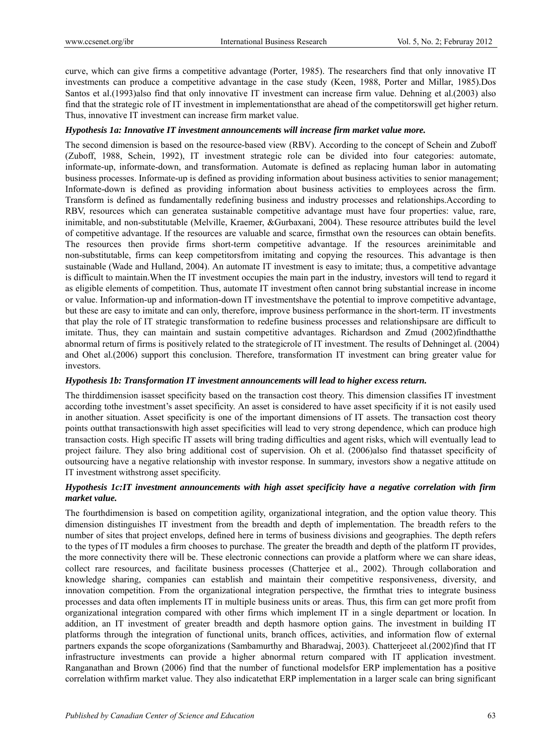curve, which can give firms a competitive advantage (Porter, 1985). The researchers find that only innovative IT investments can produce a competitive advantage in the case study (Keen, 1988, Porter and Millar, 1985).Dos Santos et al.(1993)also find that only innovative IT investment can increase firm value. Dehning et al.(2003) also find that the strategic role of IT investment in implementationsthat are ahead of the competitorswill get higher return. Thus, innovative IT investment can increase firm market value.

## *Hypothesis 1a: Innovative IT investment announcements will increase firm market value more.*

The second dimension is based on the resource-based view (RBV). According to the concept of Schein and Zuboff (Zuboff, 1988, Schein, 1992), IT investment strategic role can be divided into four categories: automate, informate-up, informate-down, and transformation. Automate is defined as replacing human labor in automating business processes. Informate-up is defined as providing information about business activities to senior management; Informate-down is defined as providing information about business activities to employees across the firm. Transform is defined as fundamentally redefining business and industry processes and relationships.According to RBV, resources which can generatea sustainable competitive advantage must have four properties: value, rare, inimitable, and non-substitutable (Melville, Kraemer, &Gurbaxani, 2004). These resource attributes build the level of competitive advantage. If the resources are valuable and scarce, firmsthat own the resources can obtain benefits. The resources then provide firms short-term competitive advantage. If the resources areinimitable and non-substitutable, firms can keep competitorsfrom imitating and copying the resources. This advantage is then sustainable (Wade and Hulland, 2004). An automate IT investment is easy to imitate; thus, a competitive advantage is difficult to maintain.When the IT investment occupies the main part in the industry, investors will tend to regard it as eligible elements of competition. Thus, automate IT investment often cannot bring substantial increase in income or value. Information-up and information-down IT investmentshave the potential to improve competitive advantage, but these are easy to imitate and can only, therefore, improve business performance in the short-term. IT investments that play the role of IT strategic transformation to redefine business processes and relationshipsare are difficult to imitate. Thus, they can maintain and sustain competitive advantages. Richardson and Zmud (2002)findthatthe abnormal return of firms is positively related to the strategicrole of IT investment. The results of Dehninget al. (2004) and Ohet al.(2006) support this conclusion. Therefore, transformation IT investment can bring greater value for investors.

## *Hypothesis 1b: Transformation IT investment announcements will lead to higher excess return.*

The thirddimension isasset specificity based on the transaction cost theory. This dimension classifies IT investment according tothe investment's asset specificity. An asset is considered to have asset specificity if it is not easily used in another situation. Asset specificity is one of the important dimensions of IT assets. The transaction cost theory points outthat transactionswith high asset specificities will lead to very strong dependence, which can produce high transaction costs. High specific IT assets will bring trading difficulties and agent risks, which will eventually lead to project failure. They also bring additional cost of supervision. Oh et al. (2006)also find thatasset specificity of outsourcing have a negative relationship with investor response. In summary, investors show a negative attitude on IT investment withstrong asset specificity.

# *Hypothesis 1c:IT investment announcements with high asset specificity have a negative correlation with firm market value.*

The fourthdimension is based on competition agility, organizational integration, and the option value theory. This dimension distinguishes IT investment from the breadth and depth of implementation. The breadth refers to the number of sites that project envelops, defined here in terms of business divisions and geographies. The depth refers to the types of IT modules a firm chooses to purchase. The greater the breadth and depth of the platform IT provides, the more connectivity there will be. These electronic connections can provide a platform where we can share ideas, collect rare resources, and facilitate business processes (Chatterjee et al., 2002). Through collaboration and knowledge sharing, companies can establish and maintain their competitive responsiveness, diversity, and innovation competition. From the organizational integration perspective, the firmthat tries to integrate business processes and data often implements IT in multiple business units or areas. Thus, this firm can get more profit from organizational integration compared with other firms which implement IT in a single department or location. In addition, an IT investment of greater breadth and depth hasmore option gains. The investment in building IT platforms through the integration of functional units, branch offices, activities, and information flow of external partners expands the scope oforganizations (Sambamurthy and Bharadwaj, 2003). Chatterjeeet al.(2002)find that IT infrastructure investments can provide a higher abnormal return compared with IT application investment. Ranganathan and Brown (2006) find that the number of functional modelsfor ERP implementation has a positive correlation withfirm market value. They also indicatethat ERP implementation in a larger scale can bring significant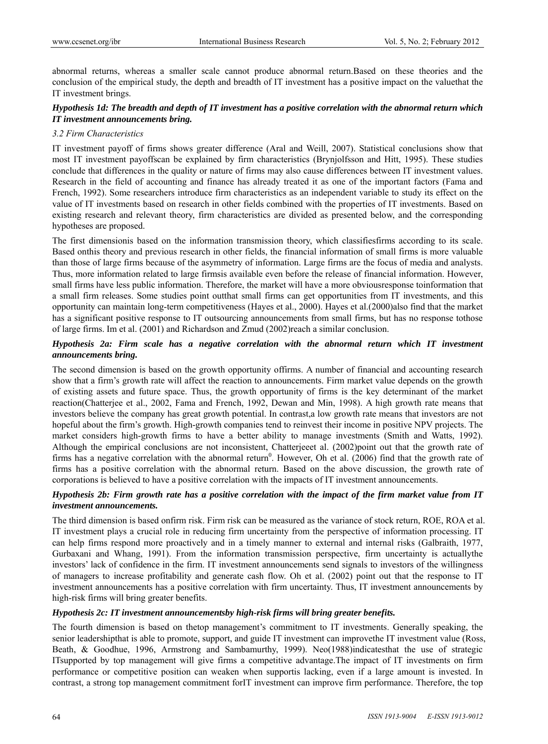abnormal returns, whereas a smaller scale cannot produce abnormal return.Based on these theories and the conclusion of the empirical study, the depth and breadth of IT investment has a positive impact on the valuethat the IT investment brings.

# *Hypothesis 1d: The breadth and depth of IT investment has a positive correlation with the abnormal return which IT investment announcements bring.*

## *3.2 Firm Characteristics*

IT investment payoff of firms shows greater difference (Aral and Weill, 2007). Statistical conclusions show that most IT investment payoffscan be explained by firm characteristics (Brynjolfsson and Hitt, 1995). These studies conclude that differences in the quality or nature of firms may also cause differences between IT investment values. Research in the field of accounting and finance has already treated it as one of the important factors (Fama and French, 1992). Some researchers introduce firm characteristics as an independent variable to study its effect on the value of IT investments based on research in other fields combined with the properties of IT investments. Based on existing research and relevant theory, firm characteristics are divided as presented below, and the corresponding hypotheses are proposed.

The first dimensionis based on the information transmission theory, which classifiesfirms according to its scale. Based onthis theory and previous research in other fields, the financial information of small firms is more valuable than those of large firms because of the asymmetry of information. Large firms are the focus of media and analysts. Thus, more information related to large firmsis available even before the release of financial information. However, small firms have less public information. Therefore, the market will have a more obviousresponse toinformation that a small firm releases. Some studies point outthat small firms can get opportunities from IT investments, and this opportunity can maintain long-term competitiveness (Hayes et al., 2000). Hayes et al.(2000)also find that the market has a significant positive response to IT outsourcing announcements from small firms, but has no response tothose of large firms. Im et al. (2001) and Richardson and Zmud (2002)reach a similar conclusion.

# *Hypothesis 2a: Firm scale has a negative correlation with the abnormal return which IT investment announcements bring.*

The second dimension is based on the growth opportunity offirms. A number of financial and accounting research show that a firm's growth rate will affect the reaction to announcements. Firm market value depends on the growth of existing assets and future space. Thus, the growth opportunity of firms is the key determinant of the market reaction(Chatterjee et al., 2002, Fama and French, 1992, Dewan and Min, 1998). A high growth rate means that investors believe the company has great growth potential. In contrast,a low growth rate means that investors are not hopeful about the firm's growth. High-growth companies tend to reinvest their income in positive NPV projects. The market considers high-growth firms to have a better ability to manage investments (Smith and Watts, 1992). Although the empirical conclusions are not inconsistent, Chatterjeeet al. (2002)point out that the growth rate of firms has a negative correlation with the abnormal return<sup>0</sup>. However, Oh et al. (2006) find that the growth rate of firms has a positive correlation with the abnormal return. Based on the above discussion, the growth rate of corporations is believed to have a positive correlation with the impacts of IT investment announcements.

# *Hypothesis 2b: Firm growth rate has a positive correlation with the impact of the firm market value from IT investment announcements.*

The third dimension is based onfirm risk. Firm risk can be measured as the variance of stock return, ROE, ROA et al. IT investment plays a crucial role in reducing firm uncertainty from the perspective of information processing. IT can help firms respond more proactively and in a timely manner to external and internal risks (Galbraith, 1977, Gurbaxani and Whang, 1991). From the information transmission perspective, firm uncertainty is actuallythe investors' lack of confidence in the firm. IT investment announcements send signals to investors of the willingness of managers to increase profitability and generate cash flow. Oh et al. (2002) point out that the response to IT investment announcements has a positive correlation with firm uncertainty. Thus, IT investment announcements by high-risk firms will bring greater benefits.

# *Hypothesis 2c: IT investment announcementsby high-risk firms will bring greater benefits.*

The fourth dimension is based on thetop management's commitment to IT investments. Generally speaking, the senior leadershipthat is able to promote, support, and guide IT investment can improvethe IT investment value (Ross, Beath, & Goodhue, 1996, Armstrong and Sambamurthy, 1999). Neo(1988)indicatesthat the use of strategic ITsupported by top management will give firms a competitive advantage.The impact of IT investments on firm performance or competitive position can weaken when supportis lacking, even if a large amount is invested. In contrast, a strong top management commitment forIT investment can improve firm performance. Therefore, the top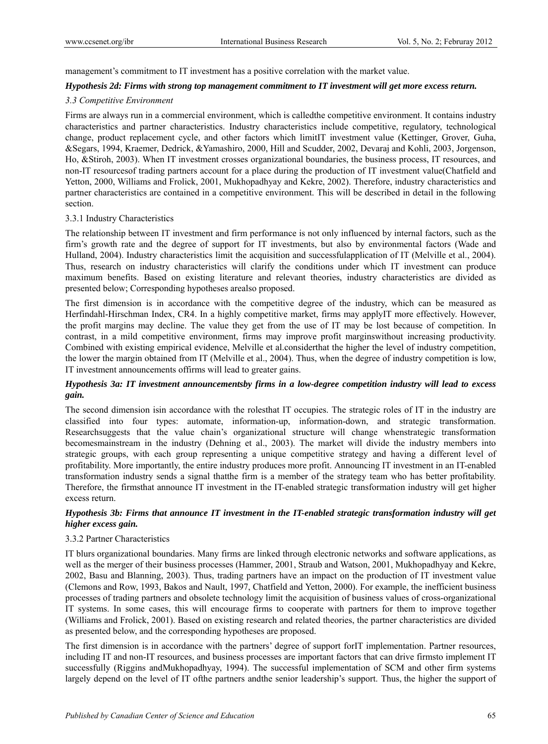management's commitment to IT investment has a positive correlation with the market value.

#### *Hypothesis 2d: Firms with strong top management commitment to IT investment will get more excess return.*

## *3.3 Competitive Environment*

Firms are always run in a commercial environment, which is calledthe competitive environment. It contains industry characteristics and partner characteristics. Industry characteristics include competitive, regulatory, technological change, product replacement cycle, and other factors which limitIT investment value (Kettinger, Grover, Guha, &Segars, 1994, Kraemer, Dedrick, &Yamashiro, 2000, Hill and Scudder, 2002, Devaraj and Kohli, 2003, Jorgenson, Ho, &Stiroh, 2003). When IT investment crosses organizational boundaries, the business process, IT resources, and non-IT resourcesof trading partners account for a place during the production of IT investment value(Chatfield and Yetton, 2000, Williams and Frolick, 2001, Mukhopadhyay and Kekre, 2002). Therefore, industry characteristics and partner characteristics are contained in a competitive environment. This will be described in detail in the following section.

## 3.3.1 Industry Characteristics

The relationship between IT investment and firm performance is not only influenced by internal factors, such as the firm's growth rate and the degree of support for IT investments, but also by environmental factors (Wade and Hulland, 2004). Industry characteristics limit the acquisition and successfulapplication of IT (Melville et al., 2004). Thus, research on industry characteristics will clarify the conditions under which IT investment can produce maximum benefits. Based on existing literature and relevant theories, industry characteristics are divided as presented below; Corresponding hypotheses arealso proposed.

The first dimension is in accordance with the competitive degree of the industry, which can be measured as Herfindahl-Hirschman Index, CR4. In a highly competitive market, firms may applyIT more effectively. However, the profit margins may decline. The value they get from the use of IT may be lost because of competition. In contrast, in a mild competitive environment, firms may improve profit marginswithout increasing productivity. Combined with existing empirical evidence, Melville et al.considerthat the higher the level of industry competition, the lower the margin obtained from IT (Melville et al., 2004). Thus, when the degree of industry competition is low, IT investment announcements offirms will lead to greater gains.

## *Hypothesis 3a: IT investment announcementsby firms in a low-degree competition industry will lead to excess gain.*

The second dimension isin accordance with the rolesthat IT occupies. The strategic roles of IT in the industry are classified into four types: automate, information-up, information-down, and strategic transformation. Researchsuggests that the value chain's organizational structure will change whenstrategic transformation becomesmainstream in the industry (Dehning et al., 2003). The market will divide the industry members into strategic groups, with each group representing a unique competitive strategy and having a different level of profitability. More importantly, the entire industry produces more profit. Announcing IT investment in an IT-enabled transformation industry sends a signal thatthe firm is a member of the strategy team who has better profitability. Therefore, the firmsthat announce IT investment in the IT-enabled strategic transformation industry will get higher excess return.

## *Hypothesis 3b: Firms that announce IT investment in the IT-enabled strategic transformation industry will get higher excess gain.*

## 3.3.2 Partner Characteristics

IT blurs organizational boundaries. Many firms are linked through electronic networks and software applications, as well as the merger of their business processes (Hammer, 2001, Straub and Watson, 2001, Mukhopadhyay and Kekre, 2002, Basu and Blanning, 2003). Thus, trading partners have an impact on the production of IT investment value (Clemons and Row, 1993, Bakos and Nault, 1997, Chatfield and Yetton, 2000). For example, the inefficient business processes of trading partners and obsolete technology limit the acquisition of business values of cross-organizational IT systems. In some cases, this will encourage firms to cooperate with partners for them to improve together (Williams and Frolick, 2001). Based on existing research and related theories, the partner characteristics are divided as presented below, and the corresponding hypotheses are proposed.

The first dimension is in accordance with the partners' degree of support forIT implementation. Partner resources, including IT and non-IT resources, and business processes are important factors that can drive firmsto implement IT successfully (Riggins andMukhopadhyay, 1994). The successful implementation of SCM and other firm systems largely depend on the level of IT ofthe partners andthe senior leadership's support. Thus, the higher the support of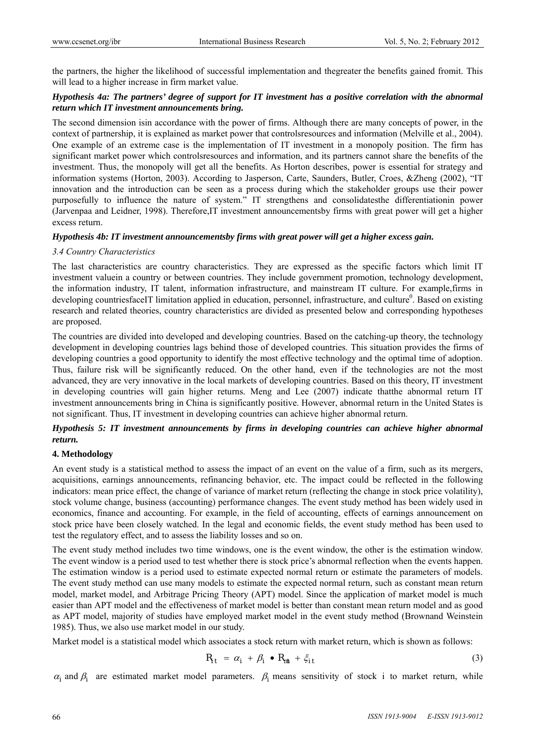the partners, the higher the likelihood of successful implementation and thegreater the benefits gained fromit. This will lead to a higher increase in firm market value.

# *Hypothesis 4a: The partners' degree of support for IT investment has a positive correlation with the abnormal return which IT investment announcements bring.*

The second dimension isin accordance with the power of firms. Although there are many concepts of power, in the context of partnership, it is explained as market power that controlsresources and information (Melville et al., 2004). One example of an extreme case is the implementation of IT investment in a monopoly position. The firm has significant market power which controlsresources and information, and its partners cannot share the benefits of the investment. Thus, the monopoly will get all the benefits. As Horton describes, power is essential for strategy and information systems (Horton, 2003). According to Jasperson, Carte, Saunders, Butler, Croes, &Zheng (2002), "IT innovation and the introduction can be seen as a process during which the stakeholder groups use their power purposefully to influence the nature of system." IT strengthens and consolidatesthe differentiationin power (Jarvenpaa and Leidner, 1998). Therefore,IT investment announcementsby firms with great power will get a higher excess return.

## *Hypothesis 4b: IT investment announcementsby firms with great power will get a higher excess gain.*

## *3.4 Country Characteristics*

The last characteristics are country characteristics. They are expressed as the specific factors which limit IT investment valuein a country or between countries. They include government promotion, technology development, the information industry, IT talent, information infrastructure, and mainstream IT culture. For example,firms in developing countriesfaceIT limitation applied in education, personnel, infrastructure, and culture<sup>0</sup>. Based on existing research and related theories, country characteristics are divided as presented below and corresponding hypotheses are proposed.

The countries are divided into developed and developing countries. Based on the catching-up theory, the technology development in developing countries lags behind those of developed countries. This situation provides the firms of developing countries a good opportunity to identify the most effective technology and the optimal time of adoption. Thus, failure risk will be significantly reduced. On the other hand, even if the technologies are not the most advanced, they are very innovative in the local markets of developing countries. Based on this theory, IT investment in developing countries will gain higher returns. Meng and Lee (2007) indicate thatthe abnormal return IT investment announcements bring in China is significantly positive. However, abnormal return in the United States is not significant. Thus, IT investment in developing countries can achieve higher abnormal return.

# *Hypothesis 5: IT investment announcements by firms in developing countries can achieve higher abnormal return.*

# **4. Methodology**

An event study is a statistical method to assess the impact of an event on the value of a firm, such as its mergers, acquisitions, earnings announcements, refinancing behavior, etc. The impact could be reflected in the following indicators: mean price effect, the change of variance of market return (reflecting the change in stock price volatility), stock volume change, business (accounting) performance changes. The event study method has been widely used in economics, finance and accounting. For example, in the field of accounting, effects of earnings announcement on stock price have been closely watched. In the legal and economic fields, the event study method has been used to test the regulatory effect, and to assess the liability losses and so on.

The event study method includes two time windows, one is the event window, the other is the estimation window. The event window is a period used to test whether there is stock price's abnormal reflection when the events happen. The estimation window is a period used to estimate expected normal return or estimate the parameters of models. The event study method can use many models to estimate the expected normal return, such as constant mean return model, market model, and Arbitrage Pricing Theory (APT) model. Since the application of market model is much easier than APT model and the effectiveness of market model is better than constant mean return model and as good as APT model, majority of studies have employed market model in the event study method (Brownand Weinstein 1985). Thus, we also use market model in our study.

Market model is a statistical model which associates a stock return with market return, which is shown as follows:

$$
R_{it} = \alpha_i + \beta_i \bullet R_{rnt} + \xi_{it}
$$
 (3)

 $\alpha_i$  and  $\beta_i$  are estimated market model parameters.  $\beta_i$  means sensitivity of stock i to market return, while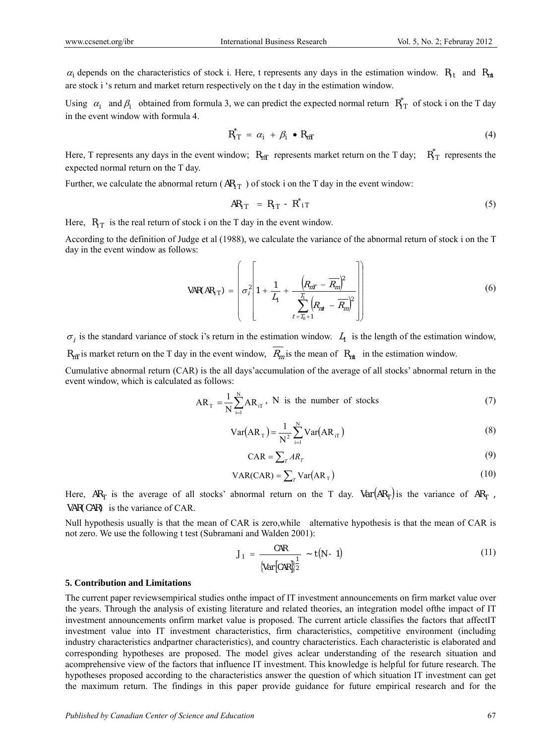$\alpha_i$  depends on the characteristics of stock i. Here, t represents any days in the estimation window.  $R_{it}$  and  $R_{nt}$ are stock i 's return and market return respectively on the t day in the estimation window.

Using  $\alpha_i$  and  $\beta_i$  obtained from formula 3, we can predict the expected normal return  $\mathbf{R}_T^*$  of stock i on the T day in the event window with formula 4.

$$
R_{TT}^* = \alpha_i + \beta_i \bullet R_{nT} \tag{4}
$$

Here, T represents any days in the event window;  $R_{\text{H}T}$  represents market return on the T day;  $R_{\text{H}T}$  represents the expected normal return on the T day.

Further, we calculate the abnormal return ( $AR_T$ ) of stock i on the T day in the event window:

$$
AR_{iT} = R_{iT} - R^*_{iT}
$$
 (5)

Here,  $R_{IT}$  is the real return of stock i on the T day in the event window.

According to the definition of Judge et al (1988), we calculate the variance of the abnormal return of stock i on the T day in the event window as follows:

$$
VAR (AR_{1T}) = \left( \sigma_1^2 \left[ 1 + \frac{1}{L_1} + \frac{\left(R_{nT} - \overline{R}_m\right)^2}{\sum_{t = T_0 + 1}^{T_1} \left(R_{nT} - \overline{R}_m\right)^2} \right] \right)
$$
(6)

 $\sigma_i$  is the standard variance of stock i's return in the estimation window.  $L_1$  is the length of the estimation window,  $R_{\text{m}}$  is market return on the T day in the event window,  $\overline{R}_{m}$  is the mean of  $R_{\text{m}}$  in the estimation window.

Cumulative abnormal return (CAR) is the all days'accumulation of the average of all stocks' abnormal return in the event window, which is calculated as follows:

$$
AR_{T} = \frac{1}{N} \sum_{i=1}^{N} AR_{iT}, N \text{ is the number of stocks}
$$
 (7)

$$
Var(ART) = \frac{1}{N^2} \sum_{i=1}^{N} Var(ARiT)
$$
\n(8)

$$
CAR = \sum_{T} AR_{T} \tag{9}
$$

$$
VAR(CAR) = \sum_{T} Var(AR_{T})
$$
\n(10)

Here,  $AR_T$  is the average of all stocks' abnormal return on the T day.  $Var(AR_T)$  is the variance of  $AR_T$ , VAR(CAR) is the variance of CAR.

Null hypothesis usually is that the mean of CAR is zero,while alternative hypothesis is that the mean of CAR is not zero. We use the following t test (Subramani and Walden 2001):

$$
J_1 = \frac{CAR}{\left\{ Var \left[ CAR \right\}^{\frac{1}{2}} \sim t(N-1) \right\}} \tag{11}
$$

#### **5. Contribution and Limitations**

The current paper reviewsempirical studies onthe impact of IT investment announcements on firm market value over the years. Through the analysis of existing literature and related theories, an integration model ofthe impact of IT investment announcements onfirm market value is proposed. The current article classifies the factors that affectIT investment value into IT investment characteristics, firm characteristics, competitive environment (including industry characteristics andpartner characteristics), and country characteristics. Each characteristic is elaborated and corresponding hypotheses are proposed. The model gives aclear understanding of the research situation and acomprehensive view of the factors that influence IT investment. This knowledge is helpful for future research. The hypotheses proposed according to the characteristics answer the question of which situation IT investment can get the maximum return. The findings in this paper provide guidance for future empirical research and for the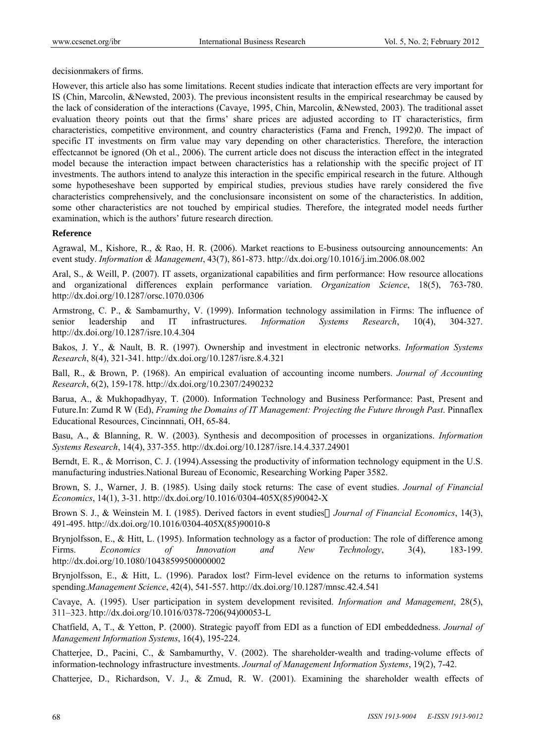decisionmakers of firms.

However, this article also has some limitations. Recent studies indicate that interaction effects are very important for IS (Chin, Marcolin, &Newsted, 2003). The previous inconsistent results in the empirical researchmay be caused by the lack of consideration of the interactions (Cavaye, 1995, Chin, Marcolin, &Newsted, 2003). The traditional asset evaluation theory points out that the firms' share prices are adjusted according to IT characteristics, firm characteristics, competitive environment, and country characteristics (Fama and French, 1992)0. The impact of specific IT investments on firm value may vary depending on other characteristics. Therefore, the interaction effectcannot be ignored (Oh et al., 2006). The current article does not discuss the interaction effect in the integrated model because the interaction impact between characteristics has a relationship with the specific project of IT investments. The authors intend to analyze this interaction in the specific empirical research in the future. Although some hypotheseshave been supported by empirical studies, previous studies have rarely considered the five characteristics comprehensively, and the conclusionsare inconsistent on some of the characteristics. In addition, some other characteristics are not touched by empirical studies. Therefore, the integrated model needs further examination, which is the authors' future research direction.

#### **Reference**

Agrawal, M., Kishore, R., & Rao, H. R. (2006). Market reactions to E-business outsourcing announcements: An event study. *Information & Management*, 43(7), 861-873. http://dx.doi.org/10.1016/j.im.2006.08.002

Aral, S., & Weill, P. (2007). IT assets, organizational capabilities and firm performance: How resource allocations and organizational differences explain performance variation. *Organization Science*, 18(5), 763-780. http://dx.doi.org/10.1287/orsc.1070.0306

Armstrong, C. P., & Sambamurthy, V. (1999). Information technology assimilation in Firms: The influence of senior leadership and IT infrastructures. *Information Systems Research*, 10(4), 304-327. http://dx.doi.org/10.1287/isre.10.4.304

Bakos, J. Y., & Nault, B. R. (1997). Ownership and investment in electronic networks. *Information Systems Research*, 8(4), 321-341. http://dx.doi.org/10.1287/isre.8.4.321

Ball, R., & Brown, P. (1968). An empirical evaluation of accounting income numbers. *Journal of Accounting Research*, 6(2), 159-178. http://dx.doi.org/10.2307/2490232

Barua, A., & Mukhopadhyay, T. (2000). Information Technology and Business Performance: Past, Present and Future.In: Zumd R W (Ed), *Framing the Domains of IT Management: Projecting the Future through Past*. Pinnaflex Educational Resources, Cincinnnati, OH, 65-84.

Basu, A., & Blanning, R. W. (2003). Synthesis and decomposition of processes in organizations. *Information Systems Research*, 14(4), 337-355. http://dx.doi.org/10.1287/isre.14.4.337.24901

Berndt, E. R., & Morrison, C. J. (1994).Assessing the productivity of information technology equipment in the U.S. manufacturing industries.National Bureau of Economic, Researching Working Paper 3582.

Brown, S. J., Warner, J. B. (1985). Using daily stock returns: The case of event studies. *Journal of Financial Economics*, 14(1), 3-31. http://dx.doi.org/10.1016/0304-405X(85)90042-X

Brown S. J., & Weinstein M. I. (1985). Derived factors in event studies *Journal of Financial Economics*, 14(3), 491-495. http://dx.doi.org/10.1016/0304-405X(85)90010-8

Brynjolfsson, E., & Hitt, L. (1995). Information technology as a factor of production: The role of difference among Firms. *Economics of Innovation and New Technology*, 3(4), 183-199. http://dx.doi.org/10.1080/10438599500000002

Brynjolfsson, E., & Hitt, L. (1996). Paradox lost? Firm-level evidence on the returns to information systems spending.*Management Science*, 42(4), 541-557. http://dx.doi.org/10.1287/mnsc.42.4.541

Cavaye, A. (1995). User participation in system development revisited. *Information and Management*, 28(5), 311–323. http://dx.doi.org/10.1016/0378-7206(94)00053-L

Chatfield, A, T., & Yetton, P. (2000). Strategic payoff from EDI as a function of EDI embeddedness. *Journal of Management Information Systems*, 16(4), 195-224.

Chatterjee, D., Pacini, C., & Sambamurthy, V. (2002). The shareholder-wealth and trading-volume effects of information-technology infrastructure investments. *Journal of Management Information Systems*, 19(2), 7-42.

Chatterjee, D., Richardson, V. J., & Zmud, R. W. (2001). Examining the shareholder wealth effects of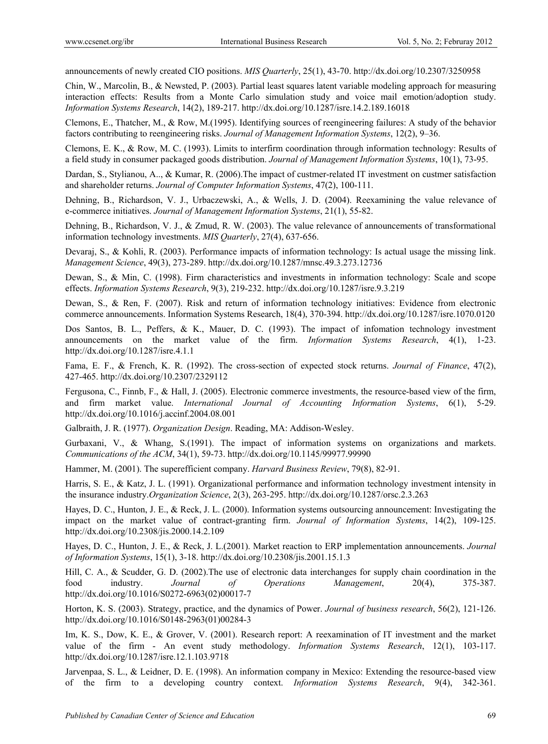announcements of newly created CIO positions. *MIS Quarterly*, 25(1), 43-70. http://dx.doi.org/10.2307/3250958

Chin, W., Marcolin, B., & Newsted, P. (2003). Partial least squares latent variable modeling approach for measuring interaction effects: Results from a Monte Carlo simulation study and voice mail emotion/adoption study. *Information Systems Research*, 14(2), 189-217. http://dx.doi.org/10.1287/isre.14.2.189.16018

Clemons, E., Thatcher, M., & Row, M.(1995). Identifying sources of reengineering failures: A study of the behavior factors contributing to reengineering risks. *Journal of Management Information Systems*, 12(2), 9–36.

Clemons, E. K., & Row, M. C. (1993). Limits to interfirm coordination through information technology: Results of a field study in consumer packaged goods distribution. *Journal of Management Information Systems*, 10(1), 73-95.

Dardan, S., Stylianou, A.., & Kumar, R. (2006).The impact of custmer-related IT investment on custmer satisfaction and shareholder returns. *Journal of Computer Information Systems*, 47(2), 100-111.

Dehning, B., Richardson, V. J., Urbaczewski, A., & Wells, J. D. (2004). Reexamining the value relevance of e-commerce initiatives. *Journal of Management Information Systems*, 21(1), 55-82.

Dehning, B., Richardson, V. J., & Zmud, R. W. (2003). The value relevance of announcements of transformational information technology investments. *MIS Quarterly*, 27(4), 637-656.

Devaraj, S., & Kohli, R. (2003). Performance impacts of information technology: Is actual usage the missing link. *Management Science*, 49(3), 273-289. http://dx.doi.org/10.1287/mnsc.49.3.273.12736

Dewan, S., & Min, C. (1998). Firm characteristics and investments in information technology: Scale and scope effects. *Information Systems Research*, 9(3), 219-232. http://dx.doi.org/10.1287/isre.9.3.219

Dewan, S., & Ren, F. (2007). Risk and return of information technology initiatives: Evidence from electronic commerce announcements. Information Systems Research, 18(4), 370-394. http://dx.doi.org/10.1287/isre.1070.0120

Dos Santos, B. L., Peffers, & K., Mauer, D. C. (1993). The impact of infomation technology investment announcements on the market value of the firm. *Information Systems Research*, 4(1), 1-23. http://dx.doi.org/10.1287/isre.4.1.1

Fama, E. F., & French, K. R. (1992). The cross-section of expected stock returns. *Journal of Finance*, 47(2), 427-465. http://dx.doi.org/10.2307/2329112

Fergusona, C., Finnb, F., & Hall, J. (2005). Electronic commerce investments, the resource-based view of the firm, and firm market value. *International Journal of Accounting Information Systems*, 6(1), 5-29. http://dx.doi.org/10.1016/j.accinf.2004.08.001

Galbraith, J. R. (1977). *Organization Design*. Reading, MA: Addison-Wesley.

Gurbaxani, V., & Whang, S.(1991). The impact of information systems on organizations and markets. *Communications of the ACM*, 34(1), 59-73. http://dx.doi.org/10.1145/99977.99990

Hammer, M. (2001). The superefficient company. *Harvard Business Review*, 79(8), 82-91.

Harris, S. E., & Katz, J. L. (1991). Organizational performance and information technology investment intensity in the insurance industry.*Organization Science*, 2(3), 263-295. http://dx.doi.org/10.1287/orsc.2.3.263

Hayes, D. C., Hunton, J. E., & Reck, J. L. (2000). Information systems outsourcing announcement: Investigating the impact on the market value of contract-granting firm. *Journal of Information Systems*, 14(2), 109-125. http://dx.doi.org/10.2308/jis.2000.14.2.109

Hayes, D. C., Hunton, J. E., & Reck, J. L.(2001). Market reaction to ERP implementation announcements. *Journal of Information Systems*, 15(1), 3-18. http://dx.doi.org/10.2308/jis.2001.15.1.3

Hill, C. A., & Scudder, G. D. (2002).The use of electronic data interchanges for supply chain coordination in the food industry. *Journal of Operations Management*, 20(4), 375-387. http://dx.doi.org/10.1016/S0272-6963(02)00017-7

Horton, K. S. (2003). Strategy, practice, and the dynamics of Power. *Journal of business research*, 56(2), 121-126. http://dx.doi.org/10.1016/S0148-2963(01)00284-3

Im, K. S., Dow, K. E., & Grover, V. (2001). Research report: A reexamination of IT investment and the market value of the firm - An event study methodology. *Information Systems Research*, 12(1), 103-117. http://dx.doi.org/10.1287/isre.12.1.103.9718

Jarvenpaa, S. L., & Leidner, D. E. (1998). An information company in Mexico: Extending the resource-based view of the firm to a developing country context. *Information Systems Research*, 9(4), 342-361.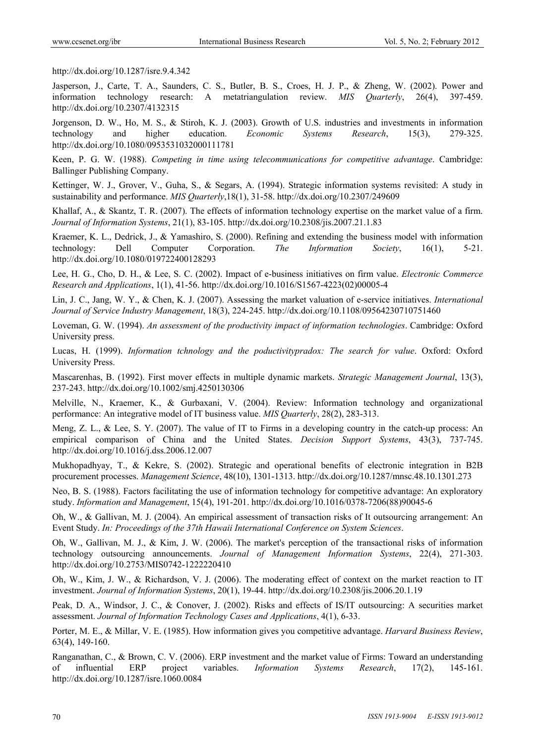http://dx.doi.org/10.1287/isre.9.4.342

Jasperson, J., Carte, T. A., Saunders, C. S., Butler, B. S., Croes, H. J. P., & Zheng, W. (2002). Power and information technology research: A metatriangulation review. *MIS Quarterly*, 26(4), 397-459. http://dx.doi.org/10.2307/4132315

Jorgenson, D. W., Ho, M. S., & Stiroh, K. J. (2003). Growth of U.S. industries and investments in information technology and higher education. *Economic Systems Research*, 15(3), 279-325. http://dx.doi.org/10.1080/0953531032000111781

Keen, P. G. W. (1988). *Competing in time using telecommunications for competitive advantage*. Cambridge: Ballinger Publishing Company.

Kettinger, W. J., Grover, V., Guha, S., & Segars, A. (1994). Strategic information systems revisited: A study in sustainability and performance. *MIS Quarterly*,18(1), 31-58. http://dx.doi.org/10.2307/249609

Khallaf, A., & Skantz, T. R. (2007). The effects of information technology expertise on the market value of a firm. *Journal of Information Systems*, 21(1), 83-105. http://dx.doi.org/10.2308/jis.2007.21.1.83

Kraemer, K. L., Dedrick, J., & Yamashiro, S. (2000). Refining and extending the business model with information technology: Dell Computer Corporation. *The Information Society*, 16(1), 5-21. http://dx.doi.org/10.1080/019722400128293

Lee, H. G., Cho, D. H., & Lee, S. C. (2002). Impact of e-business initiatives on firm value. *Electronic Commerce Research and Applications*, 1(1), 41-56. http://dx.doi.org/10.1016/S1567-4223(02)00005-4

Lin, J. C., Jang, W. Y., & Chen, K. J. (2007). Assessing the market valuation of e-service initiatives. *International Journal of Service Industry Management*, 18(3), 224-245. http://dx.doi.org/10.1108/09564230710751460

Loveman, G. W. (1994). *An assessment of the productivity impact of information technologies*. Cambridge: Oxford University press.

Lucas, H. (1999). *Information tchnology and the poductivitypradox: The search for value*. Oxford: Oxford University Press.

Mascarenhas, B. (1992). First mover effects in multiple dynamic markets. *Strategic Management Journal*, 13(3), 237-243. http://dx.doi.org/10.1002/smj.4250130306

Melville, N., Kraemer, K., & Gurbaxani, V. (2004). Review: Information technology and organizational performance: An integrative model of IT business value. *MIS Quarterly*, 28(2), 283-313.

Meng, Z. L., & Lee, S. Y. (2007). The value of IT to Firms in a developing country in the catch-up process: An empirical comparison of China and the United States. *Decision Support Systems*, 43(3), 737-745. http://dx.doi.org/10.1016/j.dss.2006.12.007

Mukhopadhyay, T., & Kekre, S. (2002). Strategic and operational benefits of electronic integration in B2B procurement processes. *Management Science*, 48(10), 1301-1313. http://dx.doi.org/10.1287/mnsc.48.10.1301.273

Neo, B. S. (1988). Factors facilitating the use of information technology for competitive advantage: An exploratory study. *Information and Management*, 15(4), 191-201. http://dx.doi.org/10.1016/0378-7206(88)90045-6

Oh, W., & Gallivan, M. J. (2004). An empirical assessment of transaction risks of It outsourcing arrangement: An Event Study. *In: Proceedings of the 37th Hawaii International Conference on System Sciences*.

Oh, W., Gallivan, M. J., & Kim, J. W. (2006). The market's perception of the transactional risks of information technology outsourcing announcements. *Journal of Management Information Systems*, 22(4), 271-303. http://dx.doi.org/10.2753/MIS0742-1222220410

Oh, W., Kim, J. W., & Richardson, V. J. (2006). The moderating effect of context on the market reaction to IT investment. *Journal of Information Systems*, 20(1), 19-44. http://dx.doi.org/10.2308/jis.2006.20.1.19

Peak, D. A., Windsor, J. C., & Conover, J. (2002). Risks and effects of IS/IT outsourcing: A securities market assessment. *Journal of Information Technology Cases and Applications*, 4(1), 6-33.

Porter, M. E., & Millar, V. E. (1985). How information gives you competitive advantage. *Harvard Business Review*, 63(4), 149-160.

Ranganathan, C., & Brown, C. V. (2006). ERP investment and the market value of Firms: Toward an understanding of influential ERP project variables. *Information Systems Research*, 17(2), 145-161. http://dx.doi.org/10.1287/isre.1060.0084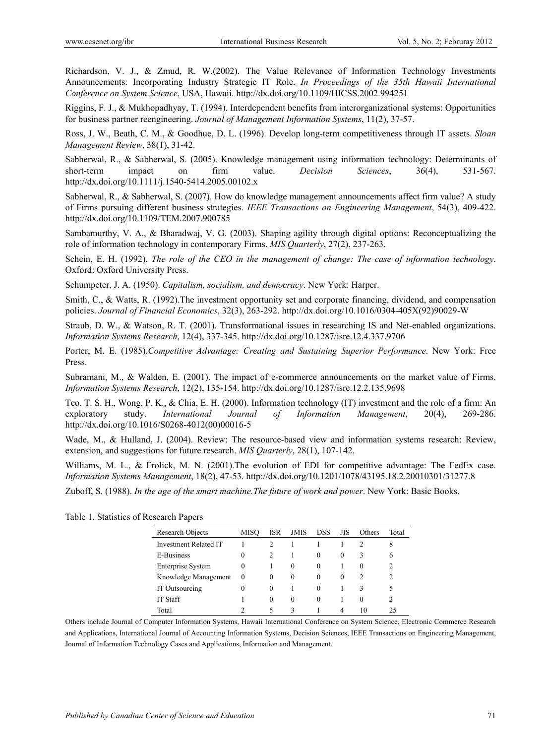Richardson, V. J., & Zmud, R. W.(2002). The Value Relevance of Information Technology Investments Announcements: Incorporating Industry Strategic IT Role. *In Proceedings of the 35th Hawaii International Conference on System Science*. USA, Hawaii. http://dx.doi.org/10.1109/HICSS.2002.994251

Riggins, F. J., & Mukhopadhyay, T. (1994). Interdependent benefits from interorganizational systems: Opportunities for business partner reengineering. *Journal of Management Information Systems*, 11(2), 37-57.

Ross, J. W., Beath, C. M., & Goodhue, D. L. (1996). Develop long-term competitiveness through IT assets. *Sloan Management Review*, 38(1), 31-42.

Sabherwal, R., & Sabherwal, S. (2005). Knowledge management using information technology: Determinants of short-term impact on firm value. *Decision Sciences*, 36(4), 531-567. http://dx.doi.org/10.1111/j.1540-5414.2005.00102.x

Sabherwal, R., & Sabherwal, S. (2007). How do knowledge management announcements affect firm value? A study of Firms pursuing different business strategies. *IEEE Transactions on Engineering Management*, 54(3), 409-422. http://dx.doi.org/10.1109/TEM.2007.900785

Sambamurthy, V. A., & Bharadwaj, V. G. (2003). Shaping agility through digital options: Reconceptualizing the role of information technology in contemporary Firms. *MIS Quarterly*, 27(2), 237-263.

Schein, E. H. (1992). *The role of the CEO in the management of change: The case of information technology*. Oxford: Oxford University Press.

Schumpeter, J. A. (1950). *Capitalism, socialism, and democracy*. New York: Harper.

Smith, C., & Watts, R. (1992). The investment opportunity set and corporate financing, dividend, and compensation policies. *Journal of Financial Economics*, 32(3), 263-292. http://dx.doi.org/10.1016/0304-405X(92)90029-W

Straub, D. W., & Watson, R. T. (2001). Transformational issues in researching IS and Net-enabled organizations. *Information Systems Research*, 12(4), 337-345. http://dx.doi.org/10.1287/isre.12.4.337.9706

Porter, M. E. (1985).*Competitive Advantage: Creating and Sustaining Superior Performance*. New York: Free Press.

Subramani, M., & Walden, E. (2001). The impact of e-commerce announcements on the market value of Firms. *Information Systems Research*, 12(2), 135-154. http://dx.doi.org/10.1287/isre.12.2.135.9698

Teo, T. S. H., Wong, P. K., & Chia, E. H. (2000). Information technology (IT) investment and the role of a firm: An exploratory study. *International Journal of Information Management*, 20(4), 269-286. http://dx.doi.org/10.1016/S0268-4012(00)00016-5

Wade, M., & Hulland, J. (2004). Review: The resource-based view and information systems research: Review, extension, and suggestions for future research. *MIS Quarterly*, 28(1), 107-142.

Williams, M. L., & Frolick, M. N. (2001). The evolution of EDI for competitive advantage: The FedEx case. *Information Systems Management*, 18(2), 47-53. http://dx.doi.org/10.1201/1078/43195.18.2.20010301/31277.8

Zuboff, S. (1988). *In the age of the smart machine.The future of work and power*. New York: Basic Books.

Table 1. Statistics of Research Papers

| Research Objects             | <b>MISO</b> | <b>ISR</b> | <b>JMIS</b> | DSS      | ЛS       | Others        | Total          |
|------------------------------|-------------|------------|-------------|----------|----------|---------------|----------------|
| <b>Investment Related IT</b> |             | 2          |             |          |          | 2             | 8              |
| E-Business                   | $\theta$    | 2          |             | 0        | $\theta$ | 3             | 6              |
| <b>Enterprise System</b>     | $\Omega$    |            | $\Omega$    | $\Omega$ |          | $\Omega$      | 2              |
| Knowledge Management         | $\Omega$    | $\Omega$   | $\theta$    | $\Omega$ | $\Omega$ | $\mathcal{L}$ | $\mathfrak{D}$ |
| IT Outsourcing               | $\Omega$    | 0          |             | 0        |          |               | 5              |
| IT Staff                     |             | $_{0}$     | $\theta$    | 0        |          | $\Omega$      | $\mathfrak{D}$ |
| Total                        |             |            |             |          | 4        | 10            | 25             |

Others include Journal of Computer Information Systems, Hawaii International Conference on System Science, Electronic Commerce Research and Applications, International Journal of Accounting Information Systems, Decision Sciences, IEEE Transactions on Engineering Management, Journal of Information Technology Cases and Applications, Information and Management.